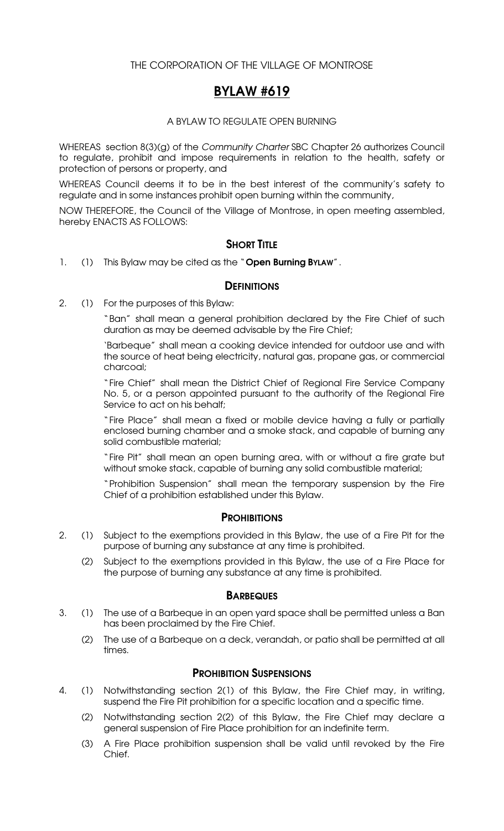## THE CORPORATION OF THE VILLAGE OF MONTROSE

# BYLAW #619

#### A BYLAW TO REGULATE OPEN BURNING

WHEREAS section 8(3)(g) of the *Community Charter* SBC Chapter 26 authorizes Council to regulate, prohibit and impose requirements in relation to the health, safety or protection of persons or property, and

WHEREAS Council deems it to be in the best interest of the community's safety to regulate and in some instances prohibit open burning within the community,

NOW THEREFORE, the Council of the Village of Montrose, in open meeting assembled, hereby ENACTS AS FOLLOWS:

## **SHORT TITLE**

1. (1) This Bylaw may be cited as the "Open Burning ByLAW".

#### **DEFINITIONS**

2. (1) For the purposes of this Bylaw:

"Ban" shall mean a general prohibition declared by the Fire Chief of such duration as may be deemed advisable by the Fire Chief;

'Barbeque" shall mean a cooking device intended for outdoor use and with the source of heat being electricity, natural gas, propane gas, or commercial charcoal;

"Fire Chief" shall mean the District Chief of Regional Fire Service Company No. 5, or a person appointed pursuant to the authority of the Regional Fire Service to act on his behalf;

"Fire Place" shall mean a fixed or mobile device having a fully or partially enclosed burning chamber and a smoke stack, and capable of burning any solid combustible material;

"Fire Pit" shall mean an open burning area, with or without a fire grate but without smoke stack, capable of burning any solid combustible material;

"Prohibition Suspension" shall mean the temporary suspension by the Fire Chief of a prohibition established under this Bylaw.

## **PROHIBITIONS**

- 2. (1) Subject to the exemptions provided in this Bylaw, the use of a Fire Pit for the purpose of burning any substance at any time is prohibited.
	- (2) Subject to the exemptions provided in this Bylaw, the use of a Fire Place for the purpose of burning any substance at any time is prohibited.

## **BARBEQUES**

- 3. (1) The use of a Barbeque in an open yard space shall be permitted unless a Ban has been proclaimed by the Fire Chief.
	- (2) The use of a Barbeque on a deck, verandah, or patio shall be permitted at all times.

## PROHIBITION SUSPENSIONS

- 4. (1) Notwithstanding section 2(1) of this Bylaw, the Fire Chief may, in writing, suspend the Fire Pit prohibition for a specific location and a specific time.
	- (2) Notwithstanding section 2(2) of this Bylaw, the Fire Chief may declare a general suspension of Fire Place prohibition for an indefinite term.
	- (3) A Fire Place prohibition suspension shall be valid until revoked by the Fire Chief.